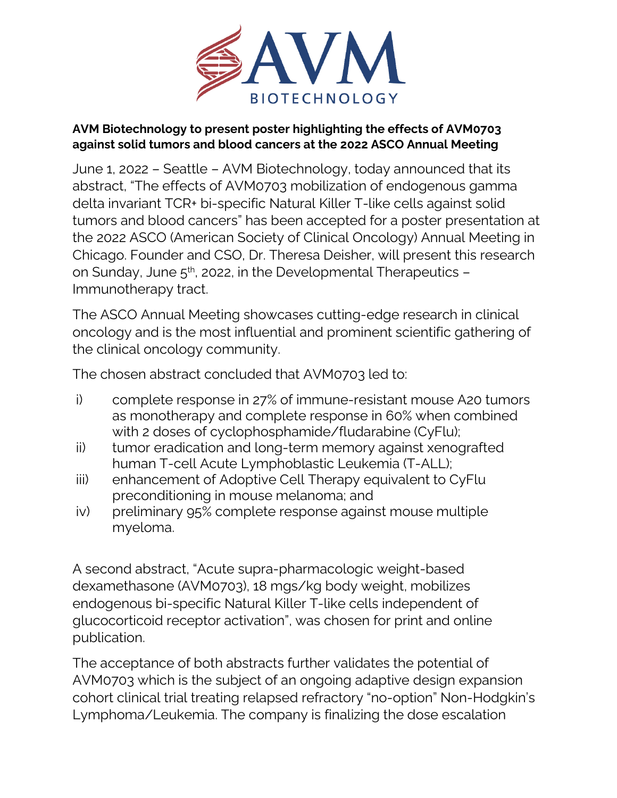

## **AVM Biotechnology to present poster highlighting the effects of AVM0703 against solid tumors and blood cancers at the 2022 ASCO Annual Meeting**

June 1, 2022 – Seattle – AVM Biotechnology, today announced that its abstract, "The effects of AVM0703 mobilization of endogenous gamma delta invariant TCR+ bi-specific Natural Killer T-like cells against solid tumors and blood cancers" has been accepted for a poster presentation at the 2022 ASCO (American Society of Clinical Oncology) Annual Meeting in Chicago. Founder and CSO, Dr. Theresa Deisher, will present this research on Sunday, June  $5<sup>th</sup>$ , 2022, in the Developmental Therapeutics – Immunotherapy tract.

The ASCO Annual Meeting showcases cutting-edge research in clinical oncology and is the most influential and prominent scientific gathering of the clinical oncology community.

The chosen abstract concluded that AVM0703 led to:

- i) complete response in 27% of immune-resistant mouse A20 tumors as monotherapy and complete response in 60% when combined with 2 doses of cyclophosphamide/fludarabine (CyFlu);
- ii) tumor eradication and long-term memory against xenografted human T-cell Acute Lymphoblastic Leukemia (T-ALL);
- iii) enhancement of Adoptive Cell Therapy equivalent to CyFlu preconditioning in mouse melanoma; and
- iv) preliminary 95% complete response against mouse multiple myeloma.

A second abstract, "Acute supra-pharmacologic weight-based dexamethasone (AVM0703), 18 mgs/kg body weight, mobilizes endogenous bi-specific Natural Killer T-like cells independent of glucocorticoid receptor activation", was chosen for print and online publication.

The acceptance of both abstracts further validates the potential of AVM0703 which is the subject of an ongoing adaptive design expansion cohort clinical trial treating relapsed refractory "no-option" Non-Hodgkin's Lymphoma/Leukemia. The company is finalizing the dose escalation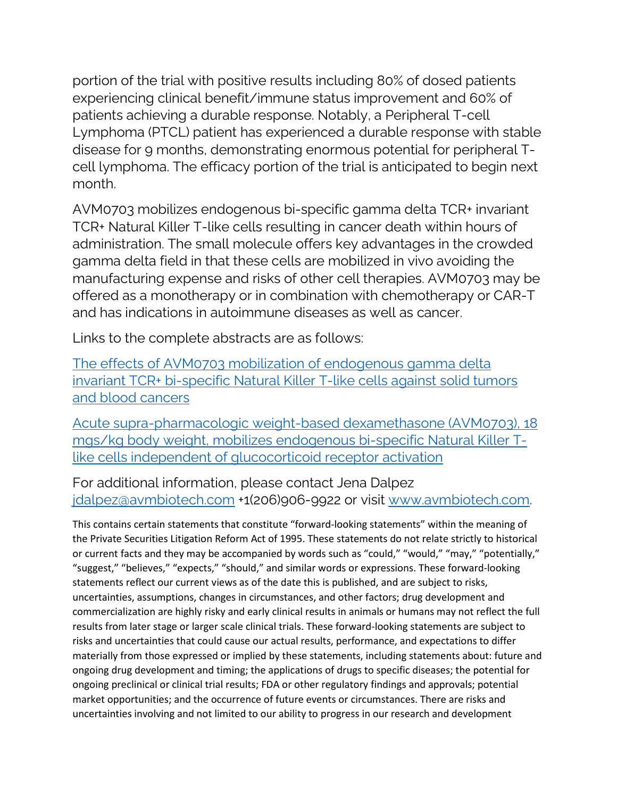portion of the trial with positive results including 80% of dosed patients experiencing clinical benefit/immune status improvement and 60% of patients achieving a durable response. Notably, a Peripheral T-cell Lymphoma (PTCL) patient has experienced a durable response with stable disease for 9 months, demonstrating enormous potential for peripheral Tcell lymphoma. The efficacy portion of the trial is anticipated to begin next month.

AVM0703 mobilizes endogenous bi-specific gamma delta TCR+ invariant TCR+ Natural Killer T-like cells resulting in cancer death within hours of administration. The small molecule offers key advantages in the crowded gamma delta field in that these cells are mobilized in vivo avoiding the manufacturing expense and risks of other cell therapies. AVM0703 may be offered as a monotherapy or in combination with chemotherapy or CAR-T and has indications in autoimmune diseases as well as cancer.

Links to the complete abstracts are as follows:

[The effects of AVM0703 mobilization of endogenous gamma delta](https://meetings.asco.org/abstracts-presentations/211199)  [invariant TCR+ bi-specific Natural Killer T-like cells against solid tumors](https://meetings.asco.org/abstracts-presentations/211199)  [and blood cancers](https://meetings.asco.org/abstracts-presentations/211199)

[Acute supra-pharmacologic weight-based dexamethasone \(AVM0703\), 18](https://meetings.asco.org/abstracts-presentations/212776)  [mgs/kg body weight, mobilizes endogenous bi-specific Natural Killer T](https://meetings.asco.org/abstracts-presentations/212776)[like cells independent of glucocorticoid receptor activation](https://meetings.asco.org/abstracts-presentations/212776)

For additional information, please contact Jena Dalpez [jdalpez@avmbiotech.com](mailto:jdalpez@avmbiotech.com) +1(206)906-9922 or visit [www.avmbiotech.com.](http://www.avmbiotech.com/)

This contains certain statements that constitute "forward-looking statements" within the meaning of the Private Securities Litigation Reform Act of 1995. These statements do not relate strictly to historical or current facts and they may be accompanied by words such as "could," "would," "may," "potentially," "suggest," "believes," "expects," "should," and similar words or expressions. These forward-looking statements reflect our current views as of the date this is published, and are subject to risks, uncertainties, assumptions, changes in circumstances, and other factors; drug development and commercialization are highly risky and early clinical results in animals or humans may not reflect the full results from later stage or larger scale clinical trials. These forward-looking statements are subject to risks and uncertainties that could cause our actual results, performance, and expectations to differ materially from those expressed or implied by these statements, including statements about: future and ongoing drug development and timing; the applications of drugs to specific diseases; the potential for ongoing preclinical or clinical trial results; FDA or other regulatory findings and approvals; potential market opportunities; and the occurrence of future events or circumstances. There are risks and uncertainties involving and not limited to our ability to progress in our research and development